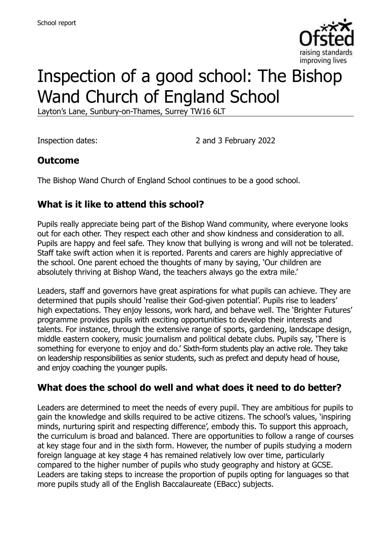

# Inspection of a good school: The Bishop Wand Church of England School

Layton's Lane, Sunbury-on-Thames, Surrey TW16 6LT

Inspection dates: 2 and 3 February 2022

#### **Outcome**

The Bishop Wand Church of England School continues to be a good school.

# **What is it like to attend this school?**

Pupils really appreciate being part of the Bishop Wand community, where everyone looks out for each other. They respect each other and show kindness and consideration to all. Pupils are happy and feel safe. They know that bullying is wrong and will not be tolerated. Staff take swift action when it is reported. Parents and carers are highly appreciative of the school. One parent echoed the thoughts of many by saying, 'Our children are absolutely thriving at Bishop Wand, the teachers always go the extra mile.'

Leaders, staff and governors have great aspirations for what pupils can achieve. They are determined that pupils should 'realise their God-given potential'. Pupils rise to leaders' high expectations. They enjoy lessons, work hard, and behave well. The 'Brighter Futures' programme provides pupils with exciting opportunities to develop their interests and talents. For instance, through the extensive range of sports, gardening, landscape design, middle eastern cookery, music journalism and political debate clubs. Pupils say, 'There is something for everyone to enjoy and do.' Sixth-form students play an active role. They take on leadership responsibilities as senior students, such as prefect and deputy head of house, and enjoy coaching the younger pupils.

#### **What does the school do well and what does it need to do better?**

Leaders are determined to meet the needs of every pupil. They are ambitious for pupils to gain the knowledge and skills required to be active citizens. The school's values, 'inspiring minds, nurturing spirit and respecting difference', embody this. To support this approach, the curriculum is broad and balanced. There are opportunities to follow a range of courses at key stage four and in the sixth form. However, the number of pupils studying a modern foreign language at key stage 4 has remained relatively low over time, particularly compared to the higher number of pupils who study geography and history at GCSE. Leaders are taking steps to increase the proportion of pupils opting for languages so that more pupils study all of the English Baccalaureate (EBacc) subjects.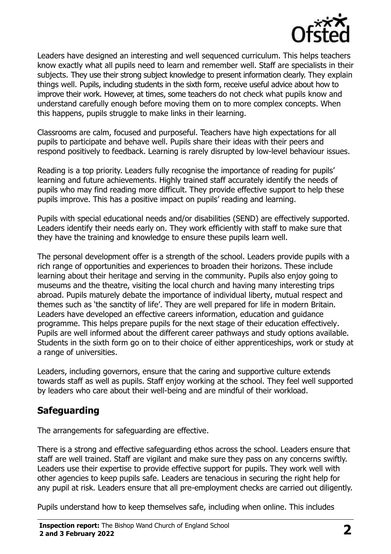

Leaders have designed an interesting and well sequenced curriculum. This helps teachers know exactly what all pupils need to learn and remember well. Staff are specialists in their subjects. They use their strong subject knowledge to present information clearly. They explain things well. Pupils, including students in the sixth form, receive useful advice about how to improve their work. However, at times, some teachers do not check what pupils know and understand carefully enough before moving them on to more complex concepts. When this happens, pupils struggle to make links in their learning.

Classrooms are calm, focused and purposeful. Teachers have high expectations for all pupils to participate and behave well. Pupils share their ideas with their peers and respond positively to feedback. Learning is rarely disrupted by low-level behaviour issues.

Reading is a top priority. Leaders fully recognise the importance of reading for pupils' learning and future achievements. Highly trained staff accurately identify the needs of pupils who may find reading more difficult. They provide effective support to help these pupils improve. This has a positive impact on pupils' reading and learning.

Pupils with special educational needs and/or disabilities (SEND) are effectively supported. Leaders identify their needs early on. They work efficiently with staff to make sure that they have the training and knowledge to ensure these pupils learn well.

The personal development offer is a strength of the school. Leaders provide pupils with a rich range of opportunities and experiences to broaden their horizons. These include learning about their heritage and serving in the community. Pupils also enjoy going to museums and the theatre, visiting the local church and having many interesting trips abroad. Pupils maturely debate the importance of individual liberty, mutual respect and themes such as 'the sanctity of life'. They are well prepared for life in modern Britain. Leaders have developed an effective careers information, education and guidance programme. This helps prepare pupils for the next stage of their education effectively. Pupils are well informed about the different career pathways and study options available. Students in the sixth form go on to their choice of either apprenticeships, work or study at a range of universities.

Leaders, including governors, ensure that the caring and supportive culture extends towards staff as well as pupils. Staff enjoy working at the school. They feel well supported by leaders who care about their well-being and are mindful of their workload.

# **Safeguarding**

The arrangements for safeguarding are effective.

There is a strong and effective safeguarding ethos across the school. Leaders ensure that staff are well trained. Staff are vigilant and make sure they pass on any concerns swiftly. Leaders use their expertise to provide effective support for pupils. They work well with other agencies to keep pupils safe. Leaders are tenacious in securing the right help for any pupil at risk. Leaders ensure that all pre-employment checks are carried out diligently.

Pupils understand how to keep themselves safe, including when online. This includes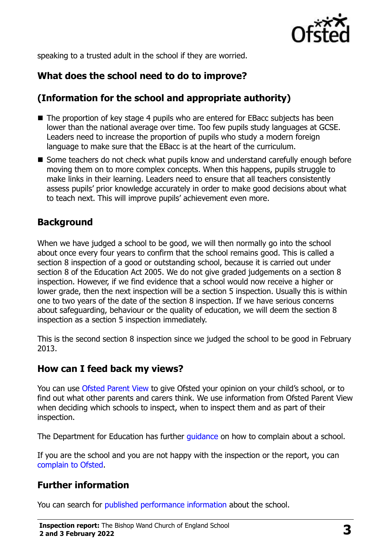

speaking to a trusted adult in the school if they are worried.

# **What does the school need to do to improve?**

# **(Information for the school and appropriate authority)**

- The proportion of key stage 4 pupils who are entered for EBacc subjects has been lower than the national average over time. Too few pupils study languages at GCSE. Leaders need to increase the proportion of pupils who study a modern foreign language to make sure that the EBacc is at the heart of the curriculum.
- Some teachers do not check what pupils know and understand carefully enough before moving them on to more complex concepts. When this happens, pupils struggle to make links in their learning. Leaders need to ensure that all teachers consistently assess pupils' prior knowledge accurately in order to make good decisions about what to teach next. This will improve pupils' achievement even more.

### **Background**

When we have judged a school to be good, we will then normally go into the school about once every four years to confirm that the school remains good. This is called a section 8 inspection of a good or outstanding school, because it is carried out under section 8 of the Education Act 2005. We do not give graded judgements on a section 8 inspection. However, if we find evidence that a school would now receive a higher or lower grade, then the next inspection will be a section 5 inspection. Usually this is within one to two years of the date of the section 8 inspection. If we have serious concerns about safeguarding, behaviour or the quality of education, we will deem the section 8 inspection as a section 5 inspection immediately.

This is the second section 8 inspection since we judged the school to be good in February 2013.

#### **How can I feed back my views?**

You can use [Ofsted Parent View](https://parentview.ofsted.gov.uk/) to give Ofsted your opinion on your child's school, or to find out what other parents and carers think. We use information from Ofsted Parent View when deciding which schools to inspect, when to inspect them and as part of their inspection.

The Department for Education has further quidance on how to complain about a school.

If you are the school and you are not happy with the inspection or the report, you can [complain to Ofsted.](https://www.gov.uk/complain-ofsted-report)

# **Further information**

You can search for [published performance information](http://www.compare-school-performance.service.gov.uk/) about the school.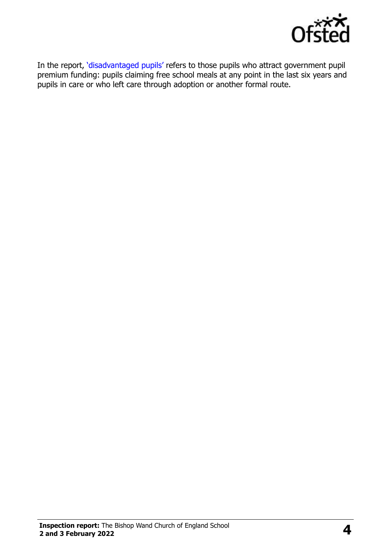

In the report, '[disadvantaged pupils](http://www.gov.uk/guidance/pupil-premium-information-for-schools-and-alternative-provision-settings)' refers to those pupils who attract government pupil premium funding: pupils claiming free school meals at any point in the last six years and pupils in care or who left care through adoption or another formal route.

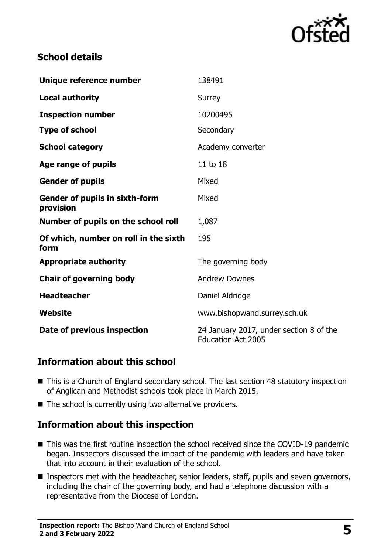

### **School details**

| Unique reference number                            | 138491                                                               |
|----------------------------------------------------|----------------------------------------------------------------------|
| <b>Local authority</b>                             | Surrey                                                               |
| <b>Inspection number</b>                           | 10200495                                                             |
| <b>Type of school</b>                              | Secondary                                                            |
| <b>School category</b>                             | Academy converter                                                    |
| Age range of pupils                                | 11 to 18                                                             |
| <b>Gender of pupils</b>                            | Mixed                                                                |
| <b>Gender of pupils in sixth-form</b><br>provision | Mixed                                                                |
| Number of pupils on the school roll                | 1,087                                                                |
| Of which, number on roll in the sixth<br>form      | 195                                                                  |
| <b>Appropriate authority</b>                       | The governing body                                                   |
| <b>Chair of governing body</b>                     | <b>Andrew Downes</b>                                                 |
| <b>Headteacher</b>                                 | Daniel Aldridge                                                      |
| Website                                            | www.bishopwand.surrey.sch.uk                                         |
| Date of previous inspection                        | 24 January 2017, under section 8 of the<br><b>Education Act 2005</b> |

#### **Information about this school**

- This is a Church of England secondary school. The last section 48 statutory inspection of Anglican and Methodist schools took place in March 2015.
- The school is currently using two alternative providers.

# **Information about this inspection**

- This was the first routine inspection the school received since the COVID-19 pandemic began. Inspectors discussed the impact of the pandemic with leaders and have taken that into account in their evaluation of the school.
- Inspectors met with the headteacher, senior leaders, staff, pupils and seven governors, including the chair of the governing body, and had a telephone discussion with a representative from the Diocese of London.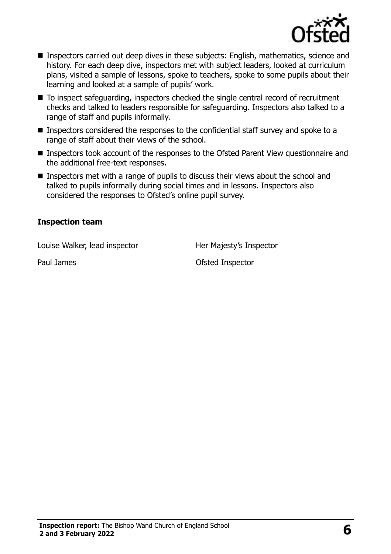

- Inspectors carried out deep dives in these subjects: English, mathematics, science and history. For each deep dive, inspectors met with subject leaders, looked at curriculum plans, visited a sample of lessons, spoke to teachers, spoke to some pupils about their learning and looked at a sample of pupils' work.
- To inspect safeguarding, inspectors checked the single central record of recruitment checks and talked to leaders responsible for safeguarding. Inspectors also talked to a range of staff and pupils informally.
- Inspectors considered the responses to the confidential staff survey and spoke to a range of staff about their views of the school.
- Inspectors took account of the responses to the Ofsted Parent View questionnaire and the additional free-text responses.
- Inspectors met with a range of pupils to discuss their views about the school and talked to pupils informally during social times and in lessons. Inspectors also considered the responses to Ofsted's online pupil survey.

#### **Inspection team**

Louise Walker, lead inspector **Her Majesty's Inspector** 

Paul James **District Contract Contract Contract Contract Contract Contract Contract Contract Contract Contract Contract Contract Contract Contract Contract Contract Contract Contract Contract Contract Contract Contract Con**